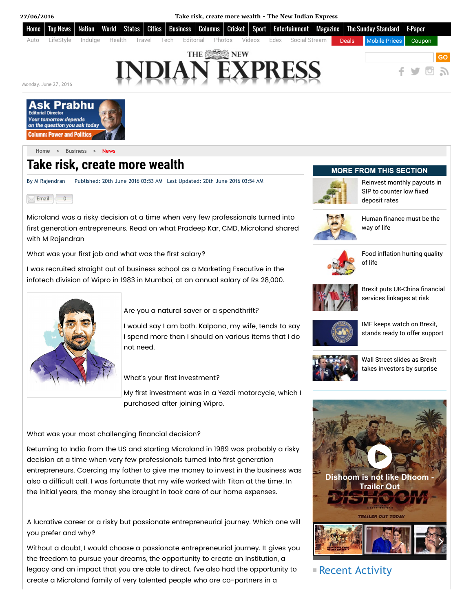



[Home](http://www.newindianexpress.com/) > [Business](http://www.newindianexpress.com/business/) > [News](http://www.newindianexpress.com/business/news/)

# Take risk, create more wealth

By M Rajendran | Published: 20th June 2016 03:53 AM Last Updated: 20th June 2016 03:54 AM



Microland was a risky decision at a time when very few professionals turned into first generation entrepreneurs. Read on what Pradeep Kar, CMD, Microland shared with M Rajendran

What was your first job and what was the first salary?

I was recruited straight out of business school as a Marketing Executive in the infotech division of Wipro in 1983 in Mumbai, at an annual salary of Rs 28,000.



Are you a natural saver or a spendthrift?

I would say I am both. Kalpana, my wife, tends to say I spend more than I should on various items that I do not need.

What's your first investment?

My first investment was in a Yezdi motorcycle, which I purchased after joining Wipro.

What was your most challenging financial decision?

Returning to India from the US and starting Microland in 1989 was probably a risky decision at a time when very few professionals turned into first generation entrepreneurs. Coercing my father to give me money to invest in the business was also a difficult call. I was fortunate that my wife worked with Titan at the time. In the initial years, the money she brought in took care of our home expenses.

A lucrative career or a risky but passionate entrepreneurial journey. Which one will you prefer and why?

Without a doubt, I would choose a passionate entrepreneurial journey. It gives you the freedom to pursue your dreams, the opportunity to create an institution, a legacy and an impact that you are able to direct. I've also had the opportunity to create a Microland family of very talented people who are co-partners in a

## MORE FROM THIS SECTION



[Reinvest](http://www.newindianexpress.com/business/news/Reinvest-monthly-payouts-in-SIP-to-counter-low-fixed-deposit-rates/2016/06/27/article3501651.ece) monthly payouts in SIP to counter low fixed deposit rates



Human [finance](http://www.newindianexpress.com/business/news/Human-finance-must-be-the-way-of-life/2016/06/27/article3501658.ece) must be the way of life



Food [inflation](http://www.newindianexpress.com/business/news/Food-inflation-hurting-quality-of-life/2016/06/27/article3501655.ece) hurting quality of life



Brexit puts [UK-China](http://www.newindianexpress.com/business/news/Brexit-puts-UK-China-financial-services-linkages-at-risk/2016/06/25/article3499697.ece) financial services linkages at risk



IMF keeps watch on Brexit, stands ready to offer [support](http://www.newindianexpress.com/business/news/IMF-keeps-watch-on-Brexit-stands-ready-to-offer-support/2016/06/25/article3499486.ece)



Wall Street slides as Brexit takes [investors](http://www.newindianexpress.com/business/news/Wall-Street-slides-as-Brexit-takes-investors-by-surprise/2016/06/24/article3498588.ece) by surprise



## Recent Activity